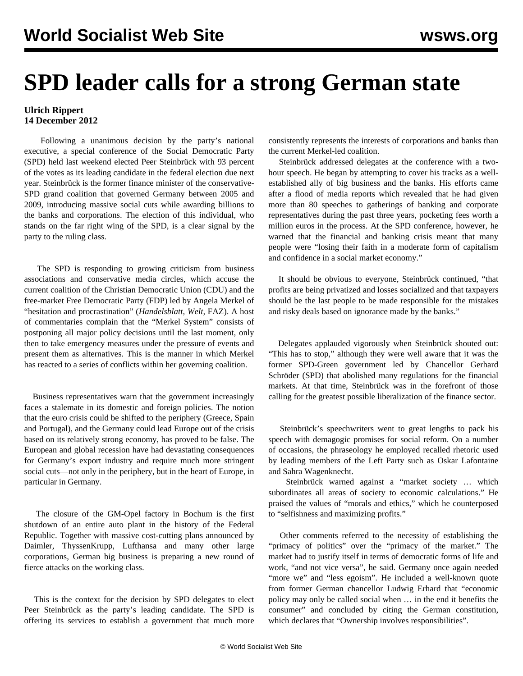## **SPD leader calls for a strong German state**

## **Ulrich Rippert 14 December 2012**

 Following a unanimous decision by the party's national executive, a special conference of the Social Democratic Party (SPD) held last weekend elected Peer Steinbrück with 93 percent of the votes as its leading candidate in the federal election due next year. Steinbrück is the former finance minister of the conservative-SPD grand coalition that governed Germany between 2005 and 2009, introducing massive social cuts while awarding billions to the banks and corporations. The election of this individual, who stands on the far right wing of the SPD, is a clear signal by the party to the ruling class.

 The SPD is responding to growing criticism from business associations and conservative media circles, which accuse the current coalition of the Christian Democratic Union (CDU) and the free-market Free Democratic Party (FDP) led by Angela Merkel of "hesitation and procrastination" (*Handelsblatt, Welt,* FAZ). A host of commentaries complain that the "Merkel System" consists of postponing all major policy decisions until the last moment, only then to take emergency measures under the pressure of events and present them as alternatives. This is the manner in which Merkel has reacted to a series of conflicts within her governing coalition.

 Business representatives warn that the government increasingly faces a stalemate in its domestic and foreign policies. The notion that the euro crisis could be shifted to the periphery (Greece, Spain and Portugal), and the Germany could lead Europe out of the crisis based on its relatively strong economy, has proved to be false. The European and global recession have had devastating consequences for Germany's export industry and require much more stringent social cuts—not only in the periphery, but in the heart of Europe, in particular in Germany.

 The closure of the GM-Opel factory in Bochum is the first shutdown of an entire auto plant in the history of the Federal Republic. Together with massive cost-cutting plans announced by Daimler, ThyssenKrupp, Lufthansa and many other large corporations, German big business is preparing a new round of fierce attacks on the working class.

 This is the context for the decision by SPD delegates to elect Peer Steinbrück as the party's leading candidate. The SPD is offering its services to establish a government that much more

consistently represents the interests of corporations and banks than the current Merkel-led coalition.

 Steinbrück addressed delegates at the conference with a twohour speech. He began by attempting to cover his tracks as a wellestablished ally of big business and the banks. His efforts came after a flood of media reports which revealed that he had given more than 80 speeches to gatherings of banking and corporate representatives during the past three years, pocketing fees worth a million euros in the process. At the SPD conference, however, he warned that the financial and banking crisis meant that many people were "losing their faith in a moderate form of capitalism and confidence in a social market economy."

 It should be obvious to everyone, Steinbrück continued, "that profits are being privatized and losses socialized and that taxpayers should be the last people to be made responsible for the mistakes and risky deals based on ignorance made by the banks."

 Delegates applauded vigorously when Steinbrück shouted out: "This has to stop," although they were well aware that it was the former SPD-Green government led by Chancellor Gerhard Schröder (SPD) that abolished many regulations for the financial markets. At that time, Steinbrück was in the forefront of those calling for the greatest possible liberalization of the finance sector.

 Steinbrück's speechwriters went to great lengths to pack his speech with demagogic promises for social reform. On a number of occasions, the phraseology he employed recalled rhetoric used by leading members of the Left Party such as Oskar Lafontaine and Sahra Wagenknecht.

 Steinbrück warned against a "market society … which subordinates all areas of society to economic calculations." He praised the values of "morals and ethics," which he counterposed to "selfishness and maximizing profits."

 Other comments referred to the necessity of establishing the "primacy of politics" over the "primacy of the market." The market had to justify itself in terms of democratic forms of life and work, "and not vice versa", he said. Germany once again needed "more we" and "less egoism". He included a well-known quote from former German chancellor Ludwig Erhard that "economic policy may only be called social when … in the end it benefits the consumer" and concluded by citing the German constitution, which declares that "Ownership involves responsibilities".